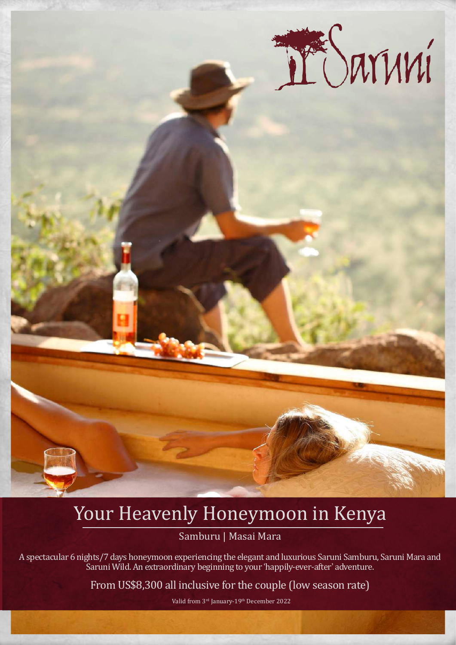

# Your Heavenly Honeymoon in Kenya

Samburu | Masai Mara

A spectacular 6 nights/7 days honeymoon experiencing the elegant and luxurious Saruni Samburu, Saruni Mara and Saruni Wild. An extraordinary beginning to your 'happily-ever-after' adventure.

From US\$8,300 all inclusive for the couple (low season rate)

Valid from 3rd January-19th December 2022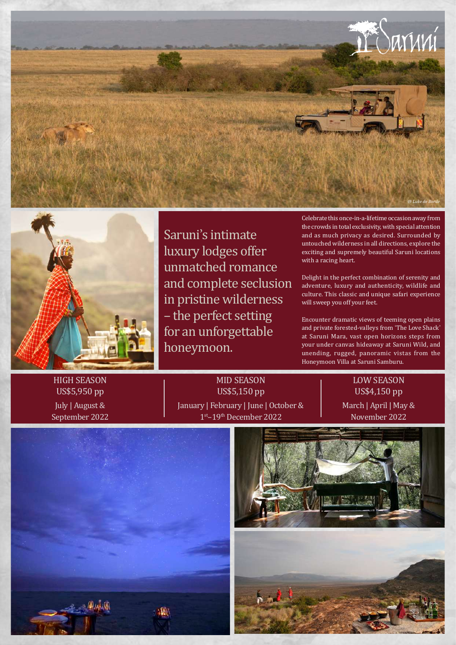



Saruni's intimate luxury lodges offer unmatched romance and complete seclusion in pristine wilderness – the perfect setting for an unforgettable honeymoon.

Celebrate this once-in-a-lifetime occasion away from the crowds in total exclusivity, with special attention and as much privacy as desired. Surrounded by untouched wilderness in all directions, explore the exciting and supremely beautiful Saruni locations with a racing heart.

Delight in the perfect combination of serenity and adventure, luxury and authenticity, wildlife and culture. This classic and unique safari experience will sweep you off your feet.

Encounter dramatic views of teeming open plains and private forested-valleys from 'The Love Shack' at Saruni Mara, vast open horizons steps from your under canvas hideaway at Saruni Wild, and unending, rugged, panoramic vistas from the Honeymoon Villa at Saruni Samburu.

HIGH SEASON US\$5,950 pp July | August & September 2022

MID SEASON US\$5,150 pp January | February | June | October & 1st–19th December 2022

LOW SEASON US\$4,150 pp March | April | May & November 2022





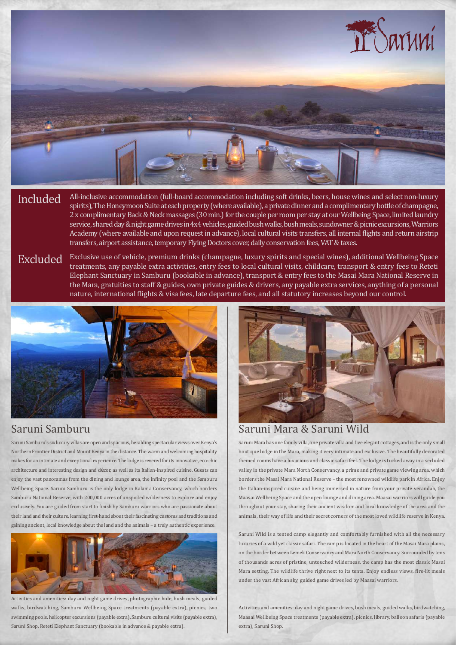

Included All-inclusive accommodation (full-board accommodation including soft drinks, beers, house wines and select non-luxury<br>spirits), The Honeymoon Suite at each property (where available), a private dinner and a compli 2 x complimentary Back & Neck massages (30 min.) for the couple per room per stay at our Wellbeing Space, limited laundry service, shared day & night game drives in 4x4 vehicles, guided bush walks, bush meals, sundowner & picnic excursions, Warriors Academy (where available and upon request in advance), local cultural visits transfers, all internal flights and return airstrip transfers, airport assistance, temporary Flying Doctors cover, daily conservation fees, VAT & taxes.

Excluded Exclusive use of vehicle, premium drinks (champagne, luxury spirits and special wines), additional Wellbeing Space<br>treatments, any payable extra activities, entry fees to local cultural visits, childcare, transpor Elephant Sanctuary in Samburu (bookable in advance), transport & entry fees to the Masai Mara National Reserve in the Mara, gratuities to staff & guides, own private guides & drivers, any payable extra services, anything of a personal nature, international flights & visa fees, late departure fees, and all statutory increases beyond our control.



# Saruni Samburu

Saruni Samburu's six luxury villas are open and spacious, heralding spectacular views over Kenya's Northern Frontier District and Mount Kenya in the distance. The warm and welcoming hospitality makes for an intimate and exceptional experience. The lodge is revered for its innovative, eco-chic architecture and interesting design and décor, as well as its Italian-inspired cuisine. Guests can enjoy the vast panoramas from the dining and lounge area, the infinity pool and the Samburu Wellbeing Space. Saruni Samburu is the only lodge in Kalama Conservancy, which borders Samburu National Reserve, with 200,000 acres of unspoiled wilderness to explore and enjoy exclusively. You are guided from start to finish by Samburu warriors who are passionate about their land and their culture, learning first-hand about their fascinating customs and traditions and gaining ancient, local knowledge about the land and the animals – a truly authentic experience.



Activities and amenities: day and night game drives, photographic hide, bush meals, guided walks, birdwatching, Samburu Wellbeing Space treatments (payable extra), picnics, two swimming pools, helicopter excursions (payable extra), Samburu cultural visits (payable extra), Saruni Shop, Reteti Elephant Sanctuary (bookable in advance & payable extra).



## Saruni Mara & Saruni Wild

Saruni Mara has one family villa, one private villa and five elegant cottages, and is the only small boutique lodge in the Mara, making it very intimate and exclusive. The beautifully decorated themed rooms have a luxurious and classic safari feel. The lodge is tucked away in a secluded valley in the private Mara North Conservancy, a prime and private game viewing area, which borders the Masai Mara National Reserve – the most renowned wildlife park in Africa. Enjoy the Italian-inspired cuisine and being immersed in nature from your private verandah, the Maasai Wellbeing Space and the open lounge and dining area. Maasai warriors will guide you throughout your stay, sharing their ancient wisdom and local knowledge of the area and the animals, their way of life and their secret corners of the most loved wildlife reserve in Kenya.

Saruni Wild is a tented camp elegantly and comfortably furnished with all the necessary luxuries of a wild yet classic safari. The camp is located in the heart of the Masai Mara plains, on the border between Lemek Conservancy and Mara North Conservancy. Surrounded by tens of thousands acres of pristine, untouched wilderness, the camp has the most classic Masai Mara setting. The wildlife thrive right next to its tents. Enjoy endless views, fire-lit meals under the vast African sky, guided game drives led by Maasai warriors.

Activities and amenities: day and night game drives, bush meals, guided walks, birdwatching, Maasai Wellbeing Space treatments (payable extra), picnics, library, balloon safaris (payable extra), Saruni Shop.